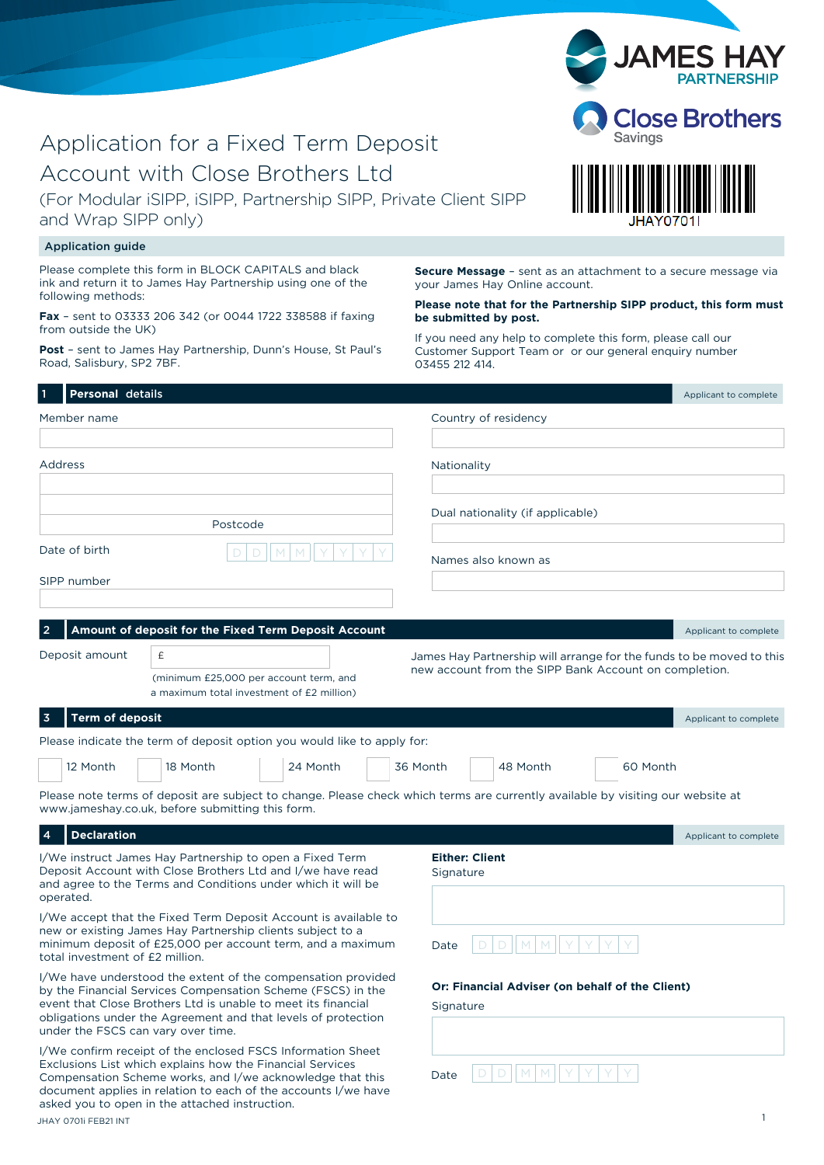| (For Modular iSIPP, iSIPP, Partnership SIPP, Private Client SIPP<br>and Wrap SIPP only)                                                                                                                                                                                                                                           | JHAY0701I                                                                                                                               |  |
|-----------------------------------------------------------------------------------------------------------------------------------------------------------------------------------------------------------------------------------------------------------------------------------------------------------------------------------|-----------------------------------------------------------------------------------------------------------------------------------------|--|
| <b>Application guide</b>                                                                                                                                                                                                                                                                                                          |                                                                                                                                         |  |
| Please complete this form in BLOCK CAPITALS and black<br>ink and return it to James Hay Partnership using one of the<br>following methods:                                                                                                                                                                                        | <b>Secure Message</b> - sent as an attachment to a secure message via<br>your James Hay Online account.                                 |  |
| Fax - sent to 03333 206 342 (or 0044 1722 338588 if faxing<br>from outside the UK)                                                                                                                                                                                                                                                | Please note that for the Partnership SIPP product, this form must<br>be submitted by post.                                              |  |
| Post - sent to James Hay Partnership, Dunn's House, St Paul's<br>Road, Salisbury, SP2 7BF.                                                                                                                                                                                                                                        | If you need any help to complete this form, please call our<br>Customer Support Team or or our general enquiry number<br>03455 212 414. |  |
| Personal details                                                                                                                                                                                                                                                                                                                  | Applicant to complete                                                                                                                   |  |
| Member name                                                                                                                                                                                                                                                                                                                       | Country of residency                                                                                                                    |  |
|                                                                                                                                                                                                                                                                                                                                   |                                                                                                                                         |  |
| Address                                                                                                                                                                                                                                                                                                                           | Nationality                                                                                                                             |  |
| Postcode                                                                                                                                                                                                                                                                                                                          | Dual nationality (if applicable)                                                                                                        |  |
| Date of birth                                                                                                                                                                                                                                                                                                                     | Names also known as                                                                                                                     |  |
| SIPP number                                                                                                                                                                                                                                                                                                                       |                                                                                                                                         |  |
| Deposit amount<br>£<br>(minimum £25,000 per account term, and<br>a maximum total investment of £2 million)                                                                                                                                                                                                                        | James Hay Partnership will arrange for the funds to be moved to this<br>new account from the SIPP Bank Account on completion.           |  |
| Term of deposit<br>3                                                                                                                                                                                                                                                                                                              | Applicant to complete                                                                                                                   |  |
| Please indicate the term of deposit option you would like to apply for:                                                                                                                                                                                                                                                           |                                                                                                                                         |  |
| 12 Month<br>24 Month<br>18 Month                                                                                                                                                                                                                                                                                                  | 48 Month<br>60 Month<br>36 Month                                                                                                        |  |
| Please note terms of deposit are subject to change. Please check which terms are currently available by visiting our website at<br>www.jameshay.co.uk, before submitting this form.                                                                                                                                               |                                                                                                                                         |  |
| <b>Declaration</b><br>4                                                                                                                                                                                                                                                                                                           | Applicant to complete                                                                                                                   |  |
| I/We instruct James Hay Partnership to open a Fixed Term<br>Deposit Account with Close Brothers Ltd and I/we have read<br>and agree to the Terms and Conditions under which it will be<br>operated.                                                                                                                               | <b>Either: Client</b><br>Signature                                                                                                      |  |
| I/We accept that the Fixed Term Deposit Account is available to<br>new or existing James Hay Partnership clients subject to a<br>minimum deposit of £25,000 per account term, and a maximum<br>total investment of £2 million.                                                                                                    | M<br>M.<br>Date                                                                                                                         |  |
| I/We have understood the extent of the compensation provided<br>by the Financial Services Compensation Scheme (FSCS) in the<br>event that Close Brothers Ltd is unable to meet its financial<br>obligations under the Agreement and that levels of protection<br>under the FSCS can vary over time.                               | Or: Financial Adviser (on behalf of the Client)<br>Signature                                                                            |  |
| I/We confirm receipt of the enclosed FSCS Information Sheet<br>Exclusions List which explains how the Financial Services<br>Compensation Scheme works, and I/we acknowledge that this<br>document applies in relation to each of the accounts I/we have<br>asked you to open in the attached instruction.<br>JHAY 0701i FEB21 INT | D<br>Date<br>1                                                                                                                          |  |

# Application for a Fixed Term Deposit

Account with Close Brothers Ltd

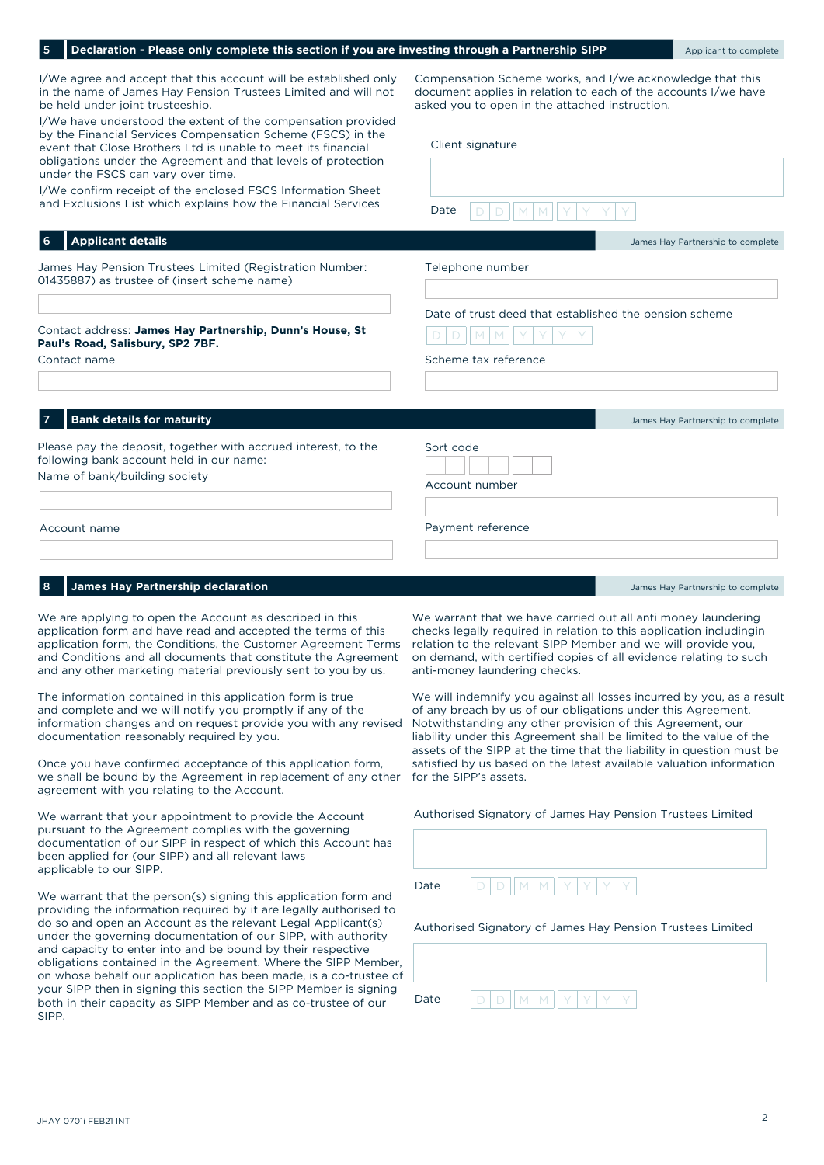| I/We agree and accept that this account will be established only<br>in the name of James Hay Pension Trustees Limited and will not<br>be held under joint trusteeship.                                                                                                                                                                                                                                                              | Compensation Scheme works, and I/we acknowledge that this<br>document applies in relation to each of the accounts I/we have<br>asked you to open in the attached instruction.                                                                                                                               |
|-------------------------------------------------------------------------------------------------------------------------------------------------------------------------------------------------------------------------------------------------------------------------------------------------------------------------------------------------------------------------------------------------------------------------------------|-------------------------------------------------------------------------------------------------------------------------------------------------------------------------------------------------------------------------------------------------------------------------------------------------------------|
| I/We have understood the extent of the compensation provided<br>by the Financial Services Compensation Scheme (FSCS) in the<br>event that Close Brothers Ltd is unable to meet its financial<br>obligations under the Agreement and that levels of protection<br>under the FSCS can vary over time.<br>I/We confirm receipt of the enclosed FSCS Information Sheet<br>and Exclusions List which explains how the Financial Services | Client signature<br>Date                                                                                                                                                                                                                                                                                    |
| <b>Applicant details</b><br>6                                                                                                                                                                                                                                                                                                                                                                                                       | James Hay Partnership to complete                                                                                                                                                                                                                                                                           |
| James Hay Pension Trustees Limited (Registration Number:<br>01435887) as trustee of (insert scheme name)                                                                                                                                                                                                                                                                                                                            | Telephone number                                                                                                                                                                                                                                                                                            |
| Contact address: James Hay Partnership, Dunn's House, St<br>Paul's Road, Salisbury, SP2 7BF.<br>Contact name                                                                                                                                                                                                                                                                                                                        | Date of trust deed that established the pension scheme<br>Scheme tax reference                                                                                                                                                                                                                              |
| <b>Bank details for maturity</b><br>7                                                                                                                                                                                                                                                                                                                                                                                               | James Hay Partnership to complete                                                                                                                                                                                                                                                                           |
| Please pay the deposit, together with accrued interest, to the<br>following bank account held in our name:<br>Name of bank/building society                                                                                                                                                                                                                                                                                         | Sort code<br>Account number                                                                                                                                                                                                                                                                                 |
| Account name                                                                                                                                                                                                                                                                                                                                                                                                                        | Payment reference                                                                                                                                                                                                                                                                                           |
|                                                                                                                                                                                                                                                                                                                                                                                                                                     |                                                                                                                                                                                                                                                                                                             |
| <b>James Hay Partnership declaration</b>                                                                                                                                                                                                                                                                                                                                                                                            | James Hay Partnership to complete                                                                                                                                                                                                                                                                           |
| We are applying to open the Account as described in this<br>application form and have read and accepted the terms of this<br>application form, the Conditions, the Customer Agreement Terms<br>and Conditions and all documents that constitute the Agreement<br>and any other marketing material previously sent to you by us.                                                                                                     | We warrant that we have carried out all anti money laundering<br>checks legally required in relation to this application includingin<br>relation to the relevant SIPP Member and we will provide you,<br>on demand, with certified copies of all evidence relating to such<br>anti-money laundering checks. |

**Declaration - Please only complete this section if you are investing through a Partnership SIPP** Applicant to complete

The information contained in this application form is true and complete and we will notify you promptly if any of the information changes and on request provide you with any revised documentation reasonably required by you.

Once you have confirmed acceptance of this application form, we shall be bound by the Agreement in replacement of any other agreement with you relating to the Account.

We warrant that your appointment to provide the Account pursuant to the Agreement complies with the governing documentation of our SIPP in respect of which this Account has been applied for (our SIPP) and all relevant laws applicable to our SIPP.

We warrant that the person(s) signing this application form and providing the information required by it are legally authorised to do so and open an Account as the relevant Legal Applicant(s) under the governing documentation of our SIPP, with authority and capacity to enter into and be bound by their respective obligations contained in the Agreement. Where the SIPP Member, on whose behalf our application has been made, is a co-trustee of your SIPP then in signing this section the SIPP Member is signing both in their capacity as SIPP Member and as co-trustee of our SIPP.

anti-money laundering checks.

We will indemnify you against all losses incurred by you, as a result of any breach by us of our obligations under this Agreement. Notwithstanding any other provision of this Agreement, our liability under this Agreement shall be limited to the value of the assets of the SIPP at the time that the liability in question must be satisfied by us based on the latest available valuation information for the SIPP's assets.

| Authorised Signatory of James Hay Pension Trustees Limited |                                 |  |
|------------------------------------------------------------|---------------------------------|--|
|                                                            |                                 |  |
|                                                            |                                 |  |
| Date                                                       | D   D    M   M    Y   Y   Y   Y |  |

#### Authorised Signatory of James Hay Pension Trustees Limited

| Date | $\overline{\phantom{a}}$<br>M<br>M<br>$\overline{\phantom{a}}$ |
|------|----------------------------------------------------------------|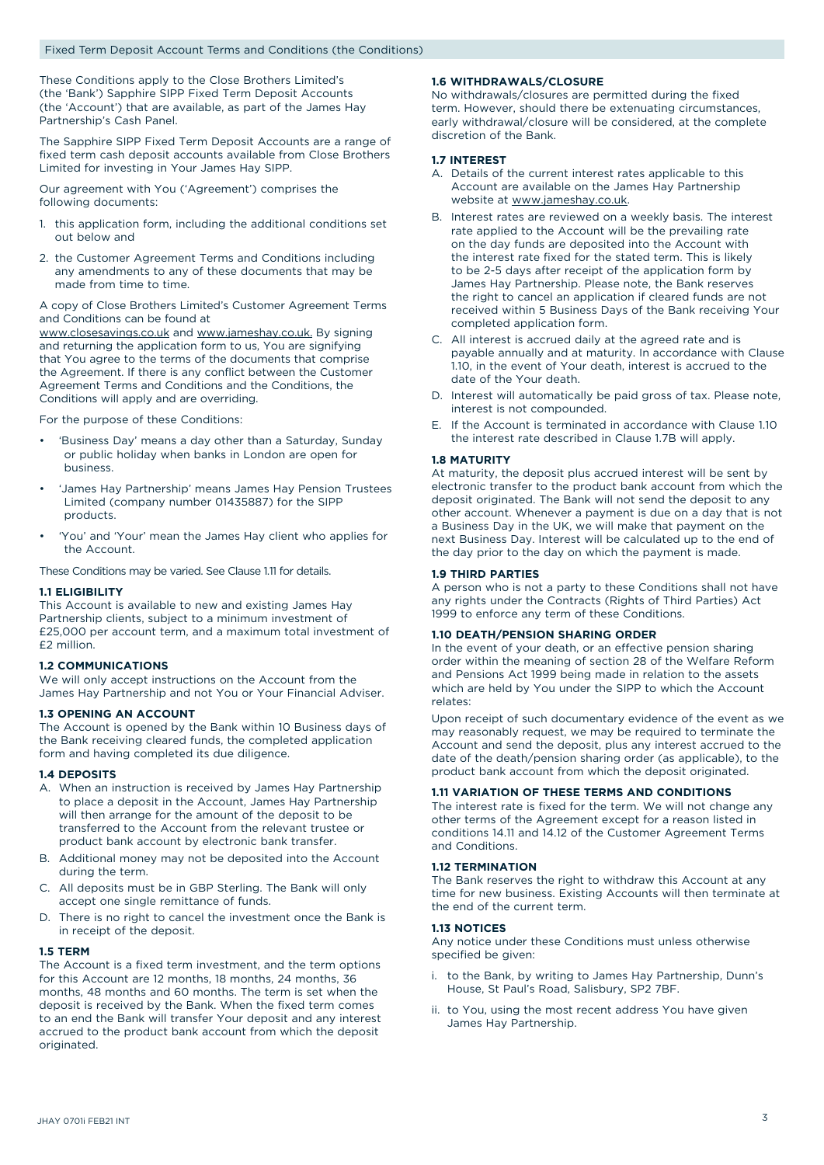These Conditions apply to the Close Brothers Limited's (the 'Bank') Sapphire SIPP Fixed Term Deposit Accounts (the 'Account') that are available, as part of the James Hay Partnership's Cash Panel.

The Sapphire SIPP Fixed Term Deposit Accounts are a range of fixed term cash deposit accounts available from Close Brothers Limited for investing in Your James Hay SIPP.

Our agreement with You ('Agreement') comprises the following documents:

- 1. this application form, including the additional conditions set out below and
- 2. the Customer Agreement Terms and Conditions including any amendments to any of these documents that may be made from time to time.

A copy of Close Brothers Limited's Customer Agreement Terms and Conditions can be found at

www.closesavings.co.uk and www.jameshay.co.uk. By signing and returning the application form to us, You are signifying that You agree to the terms of the documents that comprise the Agreement. If there is any conflict between the Customer Agreement Terms and Conditions and the Conditions, the Conditions will apply and are overriding.

For the purpose of these Conditions:

- 'Business Day' means a day other than a Saturday, Sunday or public holiday when banks in London are open for business.
- 'James Hay Partnership' means James Hay Pension Trustees Limited (company number 01435887) for the SIPP products.
- 'You' and 'Your' mean the James Hay client who applies for the Account.

These Conditions may be varied. See Clause 1.11 for details.

#### **1.1 ELIGIBILITY**

This Account is available to new and existing James Hay Partnership clients, subject to a minimum investment of £25,000 per account term, and a maximum total investment of £2 million.

#### **1.2 COMMUNICATIONS**

We will only accept instructions on the Account from the James Hay Partnership and not You or Your Financial Adviser.

#### **1.3 OPENING AN ACCOUNT**

The Account is opened by the Bank within 10 Business days of the Bank receiving cleared funds, the completed application form and having completed its due diligence.

#### **1.4 DEPOSITS**

- A. When an instruction is received by James Hay Partnership to place a deposit in the Account, James Hay Partnership will then arrange for the amount of the deposit to be transferred to the Account from the relevant trustee or product bank account by electronic bank transfer.
- B. Additional money may not be deposited into the Account during the term.
- C. All deposits must be in GBP Sterling. The Bank will only accept one single remittance of funds.
- D. There is no right to cancel the investment once the Bank is in receipt of the deposit.

#### **1.5 TERM**

The Account is a fixed term investment, and the term options for this Account are 12 months, 18 months, 24 months, 36 months, 48 months and 60 months. The term is set when the deposit is received by the Bank. When the fixed term comes to an end the Bank will transfer Your deposit and any interest accrued to the product bank account from which the deposit originated.

#### **1.6 WITHDRAWALS/CLOSURE**

No withdrawals/closures are permitted during the fixed term. However, should there be extenuating circumstances, early withdrawal/closure will be considered, at the complete discretion of the Bank.

#### **1.7 INTEREST**

- A. Details of the current interest rates applicable to this Account are available on the James Hay Partnership website at www.jameshay.co.uk.
- B. Interest rates are reviewed on a weekly basis. The interest rate applied to the Account will be the prevailing rate on the day funds are deposited into the Account with the interest rate fixed for the stated term. This is likely to be 2-5 days after receipt of the application form by James Hay Partnership. Please note, the Bank reserves the right to cancel an application if cleared funds are not received within 5 Business Days of the Bank receiving Your completed application form.
- C. All interest is accrued daily at the agreed rate and is payable annually and at maturity. In accordance with Clause 1.10, in the event of Your death, interest is accrued to the date of the Your death.
- D. Interest will automatically be paid gross of tax. Please note, interest is not compounded.
- E. If the Account is terminated in accordance with Clause 1.10 the interest rate described in Clause 1.7B will apply.

#### **1.8 MATURITY**

At maturity, the deposit plus accrued interest will be sent by electronic transfer to the product bank account from which the deposit originated. The Bank will not send the deposit to any other account. Whenever a payment is due on a day that is not a Business Day in the UK, we will make that payment on the next Business Day. Interest will be calculated up to the end of the day prior to the day on which the payment is made.

#### **1.9 THIRD PARTIES**

A person who is not a party to these Conditions shall not have any rights under the Contracts (Rights of Third Parties) Act 1999 to enforce any term of these Conditions.

#### **1.10 DEATH/PENSION SHARING ORDER**

In the event of your death, or an effective pension sharing order within the meaning of section 28 of the Welfare Reform and Pensions Act 1999 being made in relation to the assets which are held by You under the SIPP to which the Account relates:

Upon receipt of such documentary evidence of the event as we may reasonably request, we may be required to terminate the Account and send the deposit, plus any interest accrued to the date of the death/pension sharing order (as applicable), to the product bank account from which the deposit originated.

#### **1.11 VARIATION OF THESE TERMS AND CONDITIONS**

The interest rate is fixed for the term. We will not change any other terms of the Agreement except for a reason listed in conditions 14.11 and 14.12 of the Customer Agreement Terms and Conditions.

#### **1.12 TERMINATION**

The Bank reserves the right to withdraw this Account at any time for new business. Existing Accounts will then terminate at the end of the current term.

#### **1.13 NOTICES**

Any notice under these Conditions must unless otherwise specified be given:

- i. to the Bank, by writing to James Hay Partnership, Dunn's House, St Paul's Road, Salisbury, SP2 7BF.
- ii. to You, using the most recent address You have given James Hay Partnership.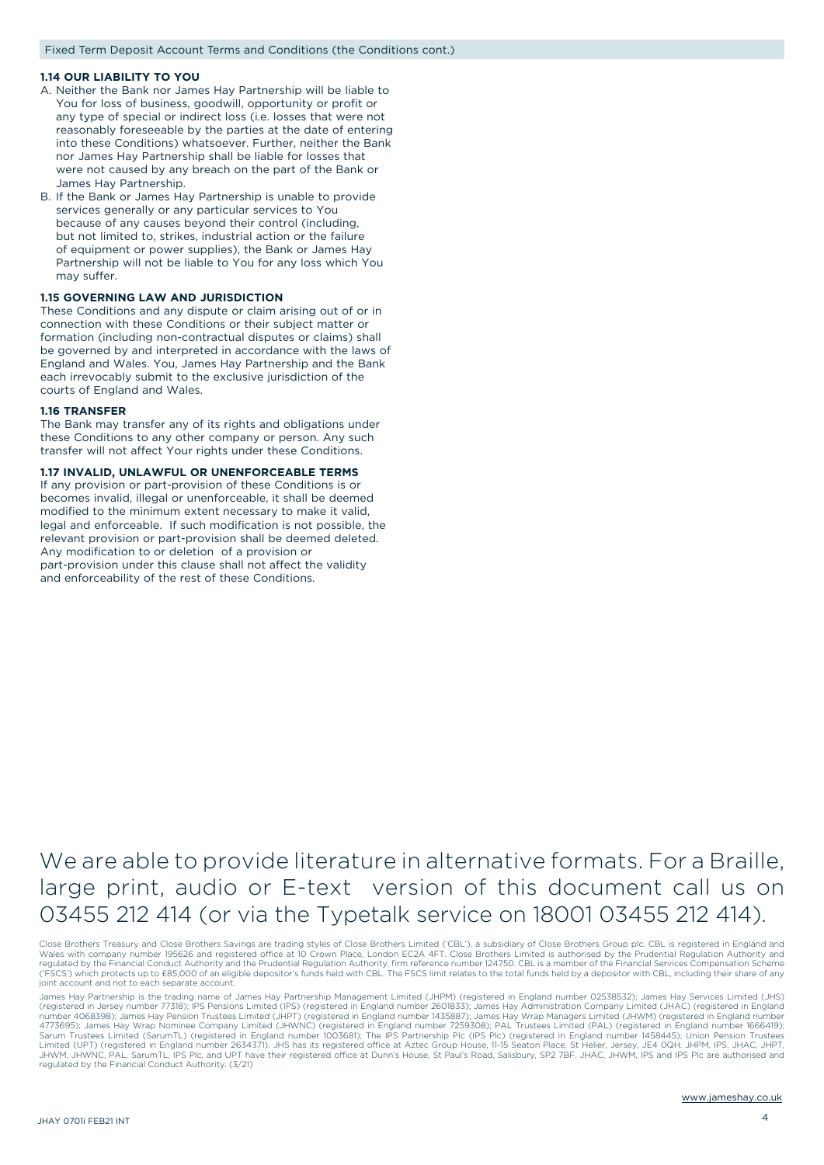#### **1.14 OUR LIABILITY TO YOU**

- A. Neither the Bank nor James Hay Partnership will be liable to You for loss of business, goodwill, opportunity or profit or any type of special or indirect loss (i.e. losses that were not reasonably foreseeable by the parties at the date of entering into these Conditions) whatsoever. Further, neither the Bank nor James Hay Partnership shall be liable for losses that were not caused by any breach on the part of the Bank or James Hay Partnership.
- B. If the Bank or James Hay Partnership is unable to provide services generally or any particular services to You because of any causes beyond their control (including, but not limited to, strikes, industrial action or the failure of equipment or power supplies), the Bank or James Hay Partnership will not be liable to You for any loss which You may suffer.

#### **1.15 GOVERNING LAW AND JURISDICTION**

These Conditions and any dispute or claim arising out of or in connection with these Conditions or their subject matter or formation (including non-contractual disputes or claims) shall be governed by and interpreted in accordance with the laws of England and Wales. You, James Hay Partnership and the Bank each irrevocably submit to the exclusive jurisdiction of the courts of England and Wales.

#### **1.16 TRANSFER**

The Bank may transfer any of its rights and obligations under these Conditions to any other company or person. Any such transfer will not affect Your rights under these Conditions.

#### **1.17 INVALID, UNLAWFUL OR UNENFORCEABLE TERMS**

If any provision or part-provision of these Conditions is or becomes invalid, illegal or unenforceable, it shall be deemed modified to the minimum extent necessary to make it valid, legal and enforceable. If such modification is not possible, the relevant provision or part-provision shall be deemed deleted. Any modification to or deletion of a provision or part-provision under this clause shall not affect the validity and enforceability of the rest of these Conditions.

## We are able to provide literature in alternative formats. For a Braille, large print, audio or E-text version of this document call us on 03455 212 414 (or via the Typetalk service on 18001 03455 212 414).

Close Brothers Treasury and Close Brothers Savings are trading styles of Close Brothers Limited ('CBL'), a subsidiary of Close Brothers Group plc. CBL is registered in England and<br>Wales with company number 195626 and regis ('FSCS') which protects up to £85,000 of an eligible depositor's funds held with CBL. The FSCS limit relates to the total funds held by a depositor with CBL, including their share of any joint account and not to each separate account.

James Hay Partnership is the trading name of James Hay Partnership Management Limited (JHPM) (registered in England number 02538532); James Hay Services Limited (JHS)<br>(registered in Jersey number 77318); IPS Pensions Limit Sarum Trustees Limited (SarumTL) (registered in England number 1003681); The IPS Partnership Plc (IPS Plc) (registered in England number 1458445); Union Pension Trustees<br>Limited (UPT) (registered in England number 2634371) JHWM, JHWNC, PAL, SarumTL, IPS Plc, and UPT have their registered office at Dunn's House, St Paul's Road, Salisbury, SP2 7BF. JHAC, JHWM, IPS and IPS Plc are authorised and regulated by the Financial Conduct Authority. (3/21)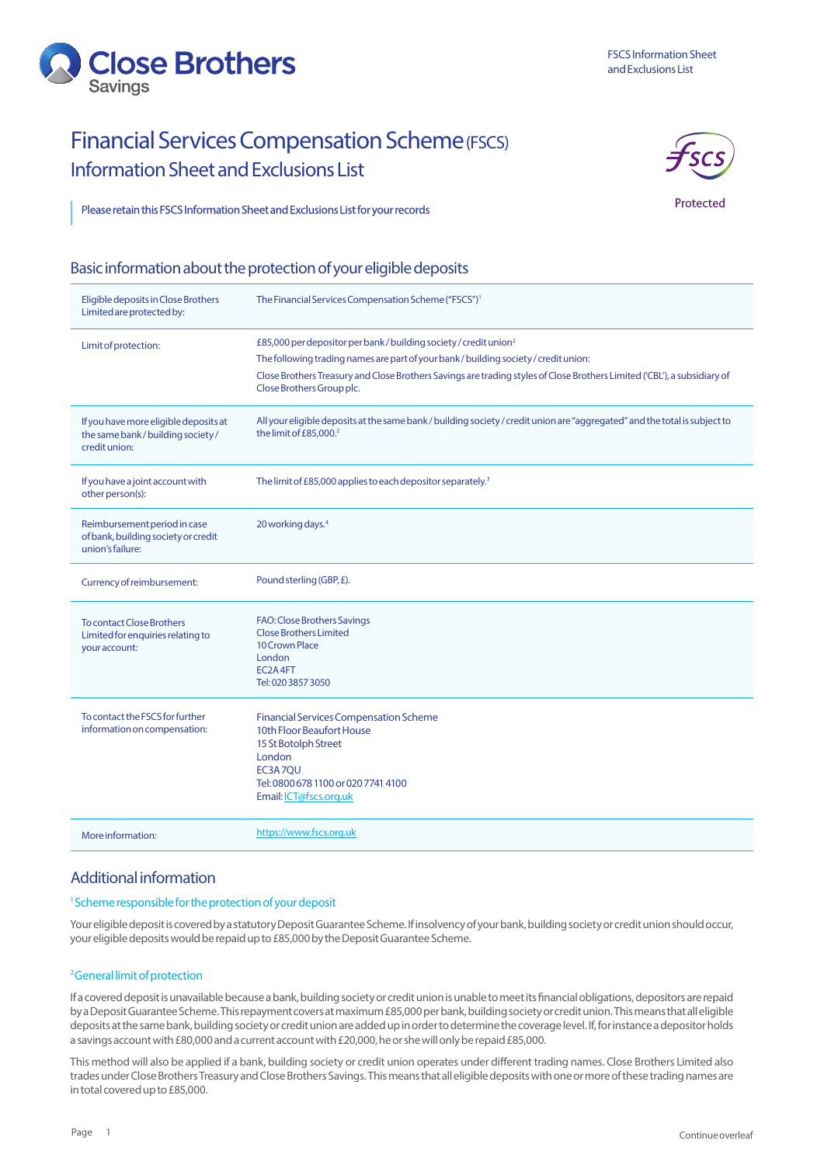

## Financial Services Compensation Scheme (FSCS) Information Sheet and Exclusions List



Protected

## Please retain this FSCS Information Sheet and Exclusions List for your records

## Basic information about the protection of your eligible deposits

| Eligible deposits in Close Brothers<br>Limited are protected by:                          | The Financial Services Compensation Scheme ("FSCS") <sup>1</sup>                                                                                                                         |
|-------------------------------------------------------------------------------------------|------------------------------------------------------------------------------------------------------------------------------------------------------------------------------------------|
| Limit of protection:                                                                      | £85,000 per depositor per bank / building society / credit union <sup>2</sup>                                                                                                            |
|                                                                                           | The following trading names are part of your bank/building society/credit union:                                                                                                         |
|                                                                                           | Close Brothers Treasury and Close Brothers Savings are trading styles of Close Brothers Limited ('CBL'), a subsidiary of<br>Close Brothers Group plc.                                    |
| If you have more eligible deposits at<br>the same bank/building society/<br>credit union: | All your eligible deposits at the same bank / building society / credit union are "aggregated" and the total is subject to<br>the limit of £85,000. <sup>2</sup>                         |
| If you have a joint account with<br>other person(s):                                      | The limit of £85,000 applies to each depositor separately. <sup>3</sup>                                                                                                                  |
| Reimbursement period in case<br>of bank, building society or credit<br>union's failure:   | 20 working days. <sup>4</sup>                                                                                                                                                            |
| Currency of reimbursement:                                                                | Pound sterling (GBP, £).                                                                                                                                                                 |
| <b>To contact Close Brothers</b><br>Limited for enquiries relating to<br>your account:    | FAO: Close Brothers Savings<br><b>Close Brothers Limited</b><br>10 Crown Place<br>London<br>EC2A4FT<br>Tel: 020 3857 3050                                                                |
| To contact the FSCS for further<br>information on compensation:                           | <b>Financial Services Compensation Scheme</b><br>10th Floor Beaufort House<br>15 St Botolph Street<br>London<br>EC3A7OU<br>Tel: 0800 678 1100 or 020 7741 4100<br>Email: ICT@fscs.org.uk |
| More information:                                                                         | https://www.fscs.org.uk                                                                                                                                                                  |

## Additional information

### 1 Scheme responsible for the protection of your deposit

Your eligible deposit is covered by a statutory Deposit Guarantee Scheme. If insolvency of your bank, building society or credit union should occur, your eligible deposits would be repaid up to £85,000 by the Deposit Guarantee Scheme.

### 2 General limit of protection

If a covered deposit is unavailable because a bank, building society or credit union is unable to meet its financial obligations, depositors are repaid by a Deposit Guarantee Scheme. This repayment covers at maximum £85,000 per bank, building society or credit union. This means that all eligible deposits at the same bank, building society or credit union are added up in order to determine the coverage level. If, for instance a depositor holds a savings account with £80,000 and a current account with £20,000, he or she will only be repaid £85,000.

This method will also be applied if a bank, building society or credit union operates under different trading names. Close Brothers Limited also trades under Close Brothers Treasury and Close Brothers Savings. This means that all eligible deposits with one or more of these trading names are in total covered up to £85,000.